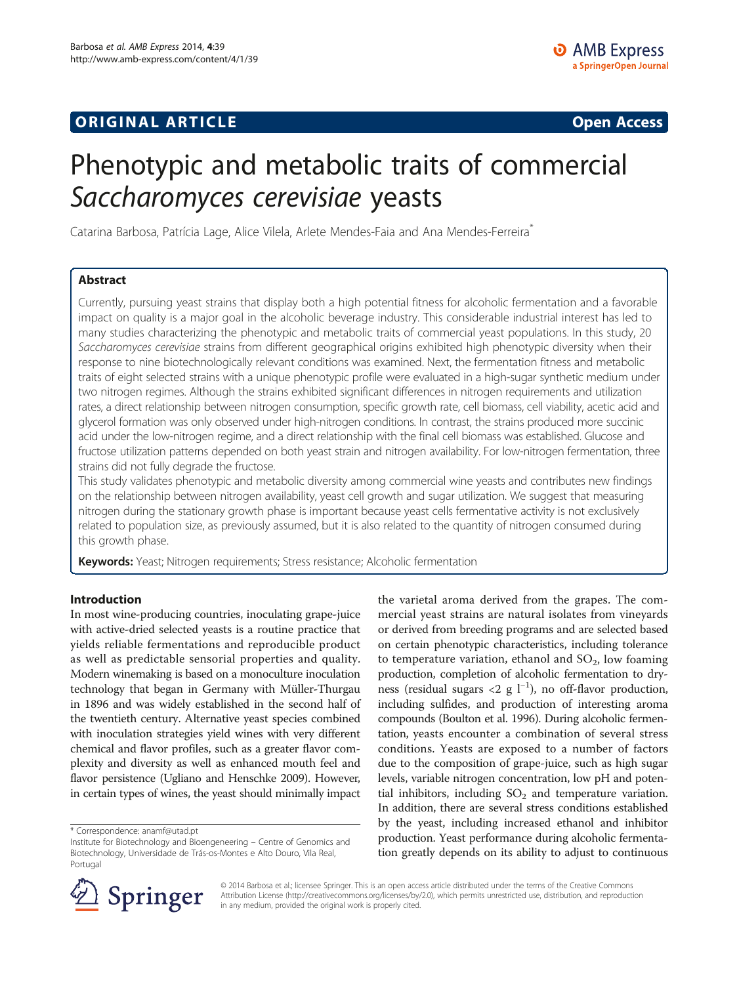# **ORIGINAL ARTICLE CONSERVANCE IN A LOCAL CONSERVANCE IN A LOCAL CONSERVANCE IN A LOCAL CONSERVANCE IN A LOCAL CONSERVANCE IN A LOCAL CONSERVANCE IN A LOCAL CONSERVANCE IN A LOCAL CONSERVANCE IN A LOCAL CONSERVANCE IN A L**

# Phenotypic and metabolic traits of commercial Saccharomyces cerevisiae yeasts

Catarina Barbosa, Patrícia Lage, Alice Vilela, Arlete Mendes-Faia and Ana Mendes-Ferreira<sup>®</sup>

## Abstract

Currently, pursuing yeast strains that display both a high potential fitness for alcoholic fermentation and a favorable impact on quality is a major goal in the alcoholic beverage industry. This considerable industrial interest has led to many studies characterizing the phenotypic and metabolic traits of commercial yeast populations. In this study, 20 Saccharomyces cerevisiae strains from different geographical origins exhibited high phenotypic diversity when their response to nine biotechnologically relevant conditions was examined. Next, the fermentation fitness and metabolic traits of eight selected strains with a unique phenotypic profile were evaluated in a high-sugar synthetic medium under two nitrogen regimes. Although the strains exhibited significant differences in nitrogen requirements and utilization rates, a direct relationship between nitrogen consumption, specific growth rate, cell biomass, cell viability, acetic acid and glycerol formation was only observed under high-nitrogen conditions. In contrast, the strains produced more succinic acid under the low-nitrogen regime, and a direct relationship with the final cell biomass was established. Glucose and fructose utilization patterns depended on both yeast strain and nitrogen availability. For low-nitrogen fermentation, three strains did not fully degrade the fructose.

This study validates phenotypic and metabolic diversity among commercial wine yeasts and contributes new findings on the relationship between nitrogen availability, yeast cell growth and sugar utilization. We suggest that measuring nitrogen during the stationary growth phase is important because yeast cells fermentative activity is not exclusively related to population size, as previously assumed, but it is also related to the quantity of nitrogen consumed during this growth phase.

Keywords: Yeast; Nitrogen requirements; Stress resistance; Alcoholic fermentation

## Introduction

In most wine-producing countries, inoculating grape-juice with active-dried selected yeasts is a routine practice that yields reliable fermentations and reproducible product as well as predictable sensorial properties and quality. Modern winemaking is based on a monoculture inoculation technology that began in Germany with Müller-Thurgau in 1896 and was widely established in the second half of the twentieth century. Alternative yeast species combined with inoculation strategies yield wines with very different chemical and flavor profiles, such as a greater flavor complexity and diversity as well as enhanced mouth feel and flavor persistence (Ugliano and Henschke [2009](#page-13-0)). However, in certain types of wines, the yeast should minimally impact

\* Correspondence: [anamf@utad.pt](mailto:anamf@utad.pt)

the varietal aroma derived from the grapes. The commercial yeast strains are natural isolates from vineyards or derived from breeding programs and are selected based on certain phenotypic characteristics, including tolerance to temperature variation, ethanol and  $SO_2$ , low foaming production, completion of alcoholic fermentation to dryness (residual sugars <2 g l<sup>-1</sup>), no off-flavor production, including sulfides, and production of interesting aroma compounds (Boulton et al. [1996](#page-12-0)). During alcoholic fermentation, yeasts encounter a combination of several stress conditions. Yeasts are exposed to a number of factors due to the composition of grape-juice, such as high sugar levels, variable nitrogen concentration, low pH and potential inhibitors, including  $SO<sub>2</sub>$  and temperature variation. In addition, there are several stress conditions established by the yeast, including increased ethanol and inhibitor production. Yeast performance during alcoholic fermentation greatly depends on its ability to adjust to continuous



© 2014 Barbosa et al.; licensee Springer. This is an open access article distributed under the terms of the Creative Commons Attribution License [\(http://creativecommons.org/licenses/by/2.0\)](http://creativecommons.org/licenses/by/2.0), which permits unrestricted use, distribution, and reproduction in any medium, provided the original work is properly cited.

Institute for Biotechnology and Bioengeneering – Centre of Genomics and Biotechnology, Universidade de Trás-os-Montes e Alto Douro, Vila Real, Portugal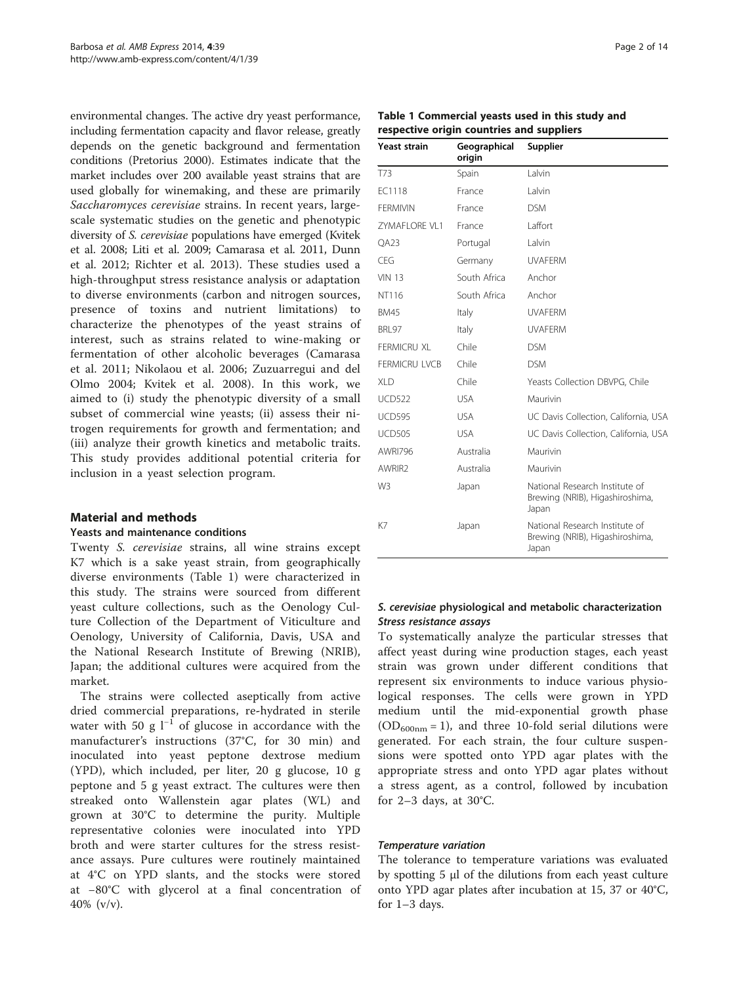environmental changes. The active dry yeast performance, including fermentation capacity and flavor release, greatly depends on the genetic background and fermentation conditions (Pretorius [2000](#page-13-0)). Estimates indicate that the market includes over 200 available yeast strains that are used globally for winemaking, and these are primarily Saccharomyces cerevisiae strains. In recent years, largescale systematic studies on the genetic and phenotypic diversity of S. cerevisiae populations have emerged (Kvitek et al. [2008](#page-12-0); Liti et al. [2009;](#page-12-0) Camarasa et al. [2011](#page-12-0), Dunn et al. [2012](#page-12-0); Richter et al. [2013\)](#page-13-0). These studies used a high-throughput stress resistance analysis or adaptation to diverse environments (carbon and nitrogen sources, presence of toxins and nutrient limitations) to characterize the phenotypes of the yeast strains of interest, such as strains related to wine-making or fermentation of other alcoholic beverages (Camarasa et al. [2011](#page-12-0); Nikolaou et al. [2006](#page-13-0); Zuzuarregui and del Olmo [2004](#page-13-0); Kvitek et al. [2008](#page-12-0)). In this work, we aimed to (i) study the phenotypic diversity of a small subset of commercial wine yeasts; (ii) assess their nitrogen requirements for growth and fermentation; and (iii) analyze their growth kinetics and metabolic traits. This study provides additional potential criteria for inclusion in a yeast selection program.

## Material and methods

#### Yeasts and maintenance conditions

Twenty S. cerevisiae strains, all wine strains except K7 which is a sake yeast strain, from geographically diverse environments (Table 1) were characterized in this study. The strains were sourced from different yeast culture collections, such as the Oenology Culture Collection of the Department of Viticulture and Oenology, University of California, Davis, USA and the National Research Institute of Brewing (NRIB), Japan; the additional cultures were acquired from the market.

The strains were collected aseptically from active dried commercial preparations, re-hydrated in sterile water with 50 g  $l^{-1}$  of glucose in accordance with the manufacturer's instructions (37°C, for 30 min) and inoculated into yeast peptone dextrose medium (YPD), which included, per liter, 20 g glucose, 10 g peptone and 5 g yeast extract. The cultures were then streaked onto Wallenstein agar plates (WL) and grown at 30°C to determine the purity. Multiple representative colonies were inoculated into YPD broth and were starter cultures for the stress resistance assays. Pure cultures were routinely maintained at 4°C on YPD slants, and the stocks were stored at −80°C with glycerol at a final concentration of 40% (v/v).

| Page 2 of 14 |  |  |
|--------------|--|--|
|              |  |  |

| Table 1 Commercial yeasts used in this study and |  |
|--------------------------------------------------|--|
| respective origin countries and suppliers        |  |

| <b>Yeast strain</b>  | Geographical<br>origin | Supplier                                                                   |
|----------------------|------------------------|----------------------------------------------------------------------------|
| T73                  | Spain                  | I alvin                                                                    |
| EC1118               | France                 | I alvin                                                                    |
| <b>FFRMIVIN</b>      | France                 | <b>DSM</b>                                                                 |
| ZYMAFLORE VL1        | France                 | I affort                                                                   |
| <b>OA23</b>          | Portugal               | I alvin                                                                    |
| <b>CFG</b>           | Germany                | <b>UVAFERM</b>                                                             |
| <b>VIN 13</b>        | South Africa           | Anchor                                                                     |
| NT116                | South Africa           | Anchor                                                                     |
| <b>BM45</b>          | Italy                  | <b>UVAFFRM</b>                                                             |
| BRL97                | Italy                  | <b>UVAFERM</b>                                                             |
| <b>FFRMICRU XI</b>   | Chile                  | <b>DSM</b>                                                                 |
| <b>FERMICRU LVCB</b> | Chile                  | <b>DSM</b>                                                                 |
| XI D                 | Chile                  | Yeasts Collection DBVPG, Chile                                             |
| <b>UCD522</b>        | <b>USA</b>             | Maurivin                                                                   |
| <b>UCD595</b>        | <b>USA</b>             | UC Davis Collection, California, USA                                       |
| <b>UCD505</b>        | <b>USA</b>             | UC Davis Collection, California, USA                                       |
| AWRI796              | Australia              | Maurivin                                                                   |
| AWRIR <sub>2</sub>   | Australia              | Maurivin                                                                   |
| W <sub>3</sub>       | Japan                  | National Research Institute of<br>Brewing (NRIB), Higashiroshima,<br>Japan |
| K7                   | Japan                  | National Research Institute of<br>Brewing (NRIB), Higashiroshima,<br>Japan |

## S. cerevisiae physiological and metabolic characterization Stress resistance assays

To systematically analyze the particular stresses that affect yeast during wine production stages, each yeast strain was grown under different conditions that represent six environments to induce various physiological responses. The cells were grown in YPD medium until the mid-exponential growth phase  $(OD_{600nm} = 1)$ , and three 10-fold serial dilutions were generated. For each strain, the four culture suspensions were spotted onto YPD agar plates with the appropriate stress and onto YPD agar plates without a stress agent, as a control, followed by incubation for 2–3 days, at 30°C.

#### Temperature variation

The tolerance to temperature variations was evaluated by spotting 5 μl of the dilutions from each yeast culture onto YPD agar plates after incubation at 15, 37 or 40°C, for 1–3 days.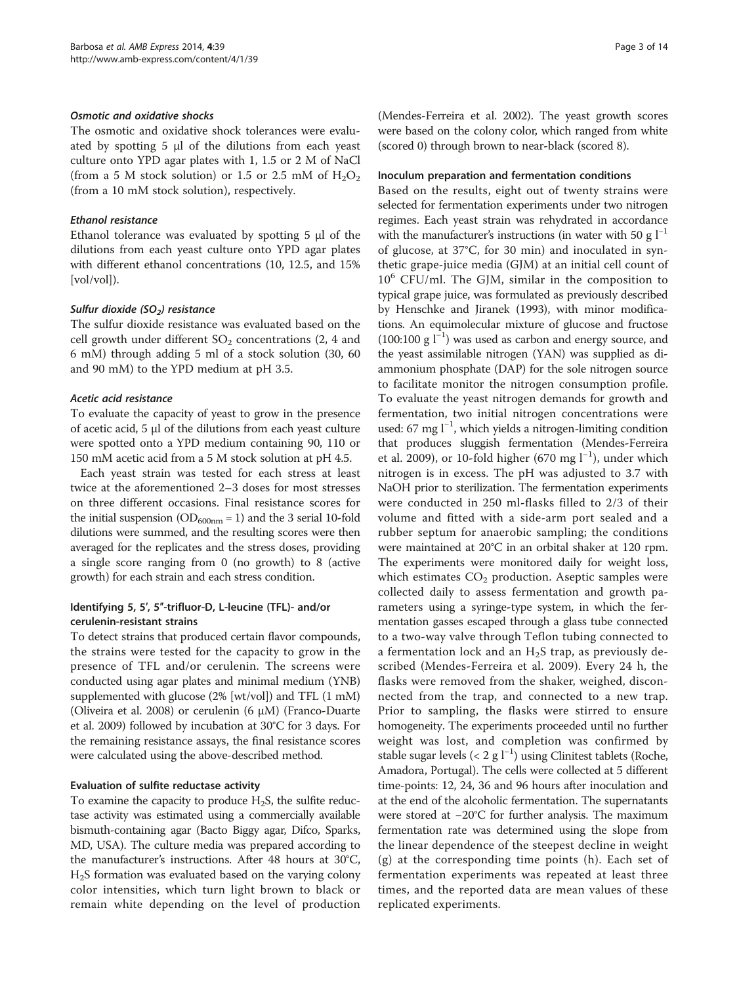#### Osmotic and oxidative shocks

The osmotic and oxidative shock tolerances were evaluated by spotting 5 μl of the dilutions from each yeast culture onto YPD agar plates with 1, 1.5 or 2 M of NaCl (from a 5 M stock solution) or 1.5 or 2.5 mM of  $H_2O_2$ (from a 10 mM stock solution), respectively.

#### Ethanol resistance

Ethanol tolerance was evaluated by spotting 5 μl of the dilutions from each yeast culture onto YPD agar plates with different ethanol concentrations (10, 12.5, and 15% [vol/vol]).

## Sulfur dioxide (SO<sub>2</sub>) resistance

The sulfur dioxide resistance was evaluated based on the cell growth under different  $SO_2$  concentrations (2, 4 and 6 mM) through adding 5 ml of a stock solution (30, 60 and 90 mM) to the YPD medium at pH 3.5.

## Acetic acid resistance

To evaluate the capacity of yeast to grow in the presence of acetic acid, 5 μl of the dilutions from each yeast culture were spotted onto a YPD medium containing 90, 110 or 150 mM acetic acid from a 5 M stock solution at pH 4.5.

Each yeast strain was tested for each stress at least twice at the aforementioned 2–3 doses for most stresses on three different occasions. Final resistance scores for the initial suspension ( $OD_{600nm} = 1$ ) and the 3 serial 10-fold dilutions were summed, and the resulting scores were then averaged for the replicates and the stress doses, providing a single score ranging from 0 (no growth) to 8 (active growth) for each strain and each stress condition.

## Identifying 5, 5′, 5″-trifluor-D, L-leucine (TFL)- and/or cerulenin-resistant strains

To detect strains that produced certain flavor compounds, the strains were tested for the capacity to grow in the presence of TFL and/or cerulenin. The screens were conducted using agar plates and minimal medium (YNB) supplemented with glucose (2% [wt/vol]) and TFL (1 mM) (Oliveira et al. [2008](#page-13-0)) or cerulenin (6  $\mu$ M) (Franco-Duarte et al. [2009](#page-12-0)) followed by incubation at 30°C for 3 days. For the remaining resistance assays, the final resistance scores were calculated using the above-described method.

## Evaluation of sulfite reductase activity

To examine the capacity to produce  $H_2S$ , the sulfite reductase activity was estimated using a commercially available bismuth-containing agar (Bacto Biggy agar, Difco, Sparks, MD, USA). The culture media was prepared according to the manufacturer's instructions. After 48 hours at 30°C,  $H<sub>2</sub>S$  formation was evaluated based on the varying colony color intensities, which turn light brown to black or remain white depending on the level of production (Mendes-Ferreira et al. [2002\)](#page-12-0). The yeast growth scores were based on the colony color, which ranged from white (scored 0) through brown to near-black (scored 8).

#### Inoculum preparation and fermentation conditions

Based on the results, eight out of twenty strains were selected for fermentation experiments under two nitrogen regimes. Each yeast strain was rehydrated in accordance with the manufacturer's instructions (in water with 50 g  $l^{-1}$ of glucose, at 37°C, for 30 min) and inoculated in synthetic grape-juice media (GJM) at an initial cell count of  $10^6$  CFU/ml. The GJM, similar in the composition to typical grape juice, was formulated as previously described by Henschke and Jiranek [\(1993](#page-12-0)), with minor modifications. An equimolecular mixture of glucose and fructose (100:100 g l−<sup>1</sup> ) was used as carbon and energy source, and the yeast assimilable nitrogen (YAN) was supplied as diammonium phosphate (DAP) for the sole nitrogen source to facilitate monitor the nitrogen consumption profile. To evaluate the yeast nitrogen demands for growth and fermentation, two initial nitrogen concentrations were used: 67 mg l<sup>-1</sup>, which yields a nitrogen-limiting condition that produces sluggish fermentation (Mendes-Ferreira et al. [2009\)](#page-13-0), or 10-fold higher (670 mg l<sup>-1</sup>), under which nitrogen is in excess. The pH was adjusted to 3.7 with NaOH prior to sterilization. The fermentation experiments were conducted in 250 ml-flasks filled to 2/3 of their volume and fitted with a side-arm port sealed and a rubber septum for anaerobic sampling; the conditions were maintained at 20°C in an orbital shaker at 120 rpm. The experiments were monitored daily for weight loss, which estimates  $CO<sub>2</sub>$  production. Aseptic samples were collected daily to assess fermentation and growth parameters using a syringe-type system, in which the fermentation gasses escaped through a glass tube connected to a two-way valve through Teflon tubing connected to a fermentation lock and an  $H_2S$  trap, as previously described (Mendes-Ferreira et al. [2009\)](#page-13-0). Every 24 h, the flasks were removed from the shaker, weighed, disconnected from the trap, and connected to a new trap. Prior to sampling, the flasks were stirred to ensure homogeneity. The experiments proceeded until no further weight was lost, and completion was confirmed by stable sugar levels (< 2 g l<sup>-1</sup>) using Clinitest tablets (Roche, Amadora, Portugal). The cells were collected at 5 different time-points: 12, 24, 36 and 96 hours after inoculation and at the end of the alcoholic fermentation. The supernatants were stored at −20°C for further analysis. The maximum fermentation rate was determined using the slope from the linear dependence of the steepest decline in weight (g) at the corresponding time points (h). Each set of fermentation experiments was repeated at least three times, and the reported data are mean values of these replicated experiments.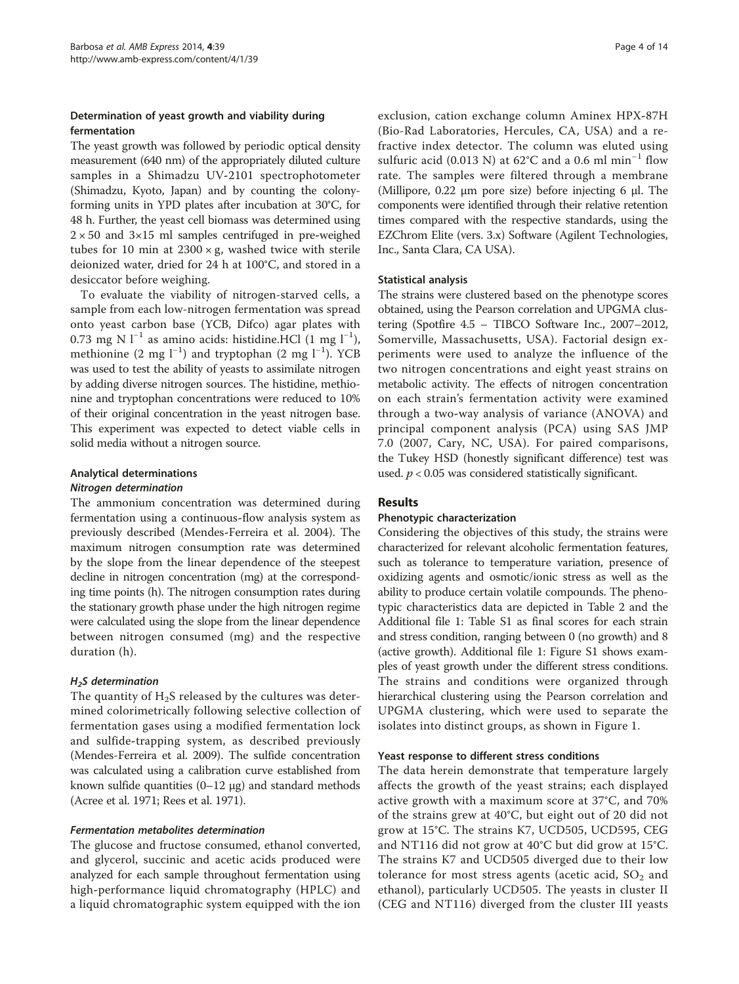## Determination of yeast growth and viability during fermentation

The yeast growth was followed by periodic optical density measurement (640 nm) of the appropriately diluted culture samples in a Shimadzu UV-2101 spectrophotometer (Shimadzu, Kyoto, Japan) and by counting the colonyforming units in YPD plates after incubation at 30°C, for 48 h. Further, the yeast cell biomass was determined using  $2 \times 50$  and  $3 \times 15$  ml samples centrifuged in pre-weighed tubes for 10 min at  $2300 \times g$ , washed twice with sterile deionized water, dried for 24 h at 100°C, and stored in a desiccator before weighing.

To evaluate the viability of nitrogen-starved cells, a sample from each low-nitrogen fermentation was spread onto yeast carbon base (YCB, Difco) agar plates with 0.73 mg N l<sup>−1</sup> as amino acids: histidine.HCl (1 mg l<sup>−1</sup>), methionine (2 mg l<sup>-1</sup>) and tryptophan (2 mg l<sup>-1</sup>). YCB was used to test the ability of yeasts to assimilate nitrogen by adding diverse nitrogen sources. The histidine, methionine and tryptophan concentrations were reduced to 10% of their original concentration in the yeast nitrogen base. This experiment was expected to detect viable cells in solid media without a nitrogen source.

## Analytical determinations

#### Nitrogen determination

The ammonium concentration was determined during fermentation using a continuous-flow analysis system as previously described (Mendes-Ferreira et al. [2004\)](#page-13-0). The maximum nitrogen consumption rate was determined by the slope from the linear dependence of the steepest decline in nitrogen concentration (mg) at the corresponding time points (h). The nitrogen consumption rates during the stationary growth phase under the high nitrogen regime were calculated using the slope from the linear dependence between nitrogen consumed (mg) and the respective duration (h).

## $H<sub>2</sub>S$  determination

The quantity of  $H_2S$  released by the cultures was determined colorimetrically following selective collection of fermentation gases using a modified fermentation lock and sulfide-trapping system, as described previously (Mendes-Ferreira et al. [2009\)](#page-13-0). The sulfide concentration was calculated using a calibration curve established from known sulfide quantities  $(0-12 \mu g)$  and standard methods (Acree et al. [1971](#page-12-0); Rees et al. [1971\)](#page-13-0).

## Fermentation metabolites determination

The glucose and fructose consumed, ethanol converted, and glycerol, succinic and acetic acids produced were analyzed for each sample throughout fermentation using high-performance liquid chromatography (HPLC) and a liquid chromatographic system equipped with the ion exclusion, cation exchange column Aminex HPX-87H (Bio-Rad Laboratories, Hercules, CA, USA) and a refractive index detector. The column was eluted using sulfuric acid (0.013 N) at 62°C and a 0.6 ml min−<sup>1</sup> flow rate. The samples were filtered through a membrane (Millipore, 0.22 μm pore size) before injecting 6 μl. The components were identified through their relative retention times compared with the respective standards, using the EZChrom Elite (vers. 3.x) Software (Agilent Technologies, Inc., Santa Clara, CA USA).

## Statistical analysis

The strains were clustered based on the phenotype scores obtained, using the Pearson correlation and UPGMA clustering (Spotfire 4.5 – TIBCO Software Inc., 2007–2012, Somerville, Massachusetts, USA). Factorial design experiments were used to analyze the influence of the two nitrogen concentrations and eight yeast strains on metabolic activity. The effects of nitrogen concentration on each strain's fermentation activity were examined through a two-way analysis of variance (ANOVA) and principal component analysis (PCA) using SAS JMP 7.0 (2007, Cary, NC, USA). For paired comparisons, the Tukey HSD (honestly significant difference) test was used.  $p < 0.05$  was considered statistically significant.

## Results

## Phenotypic characterization

Considering the objectives of this study, the strains were characterized for relevant alcoholic fermentation features, such as tolerance to temperature variation, presence of oxidizing agents and osmotic/ionic stress as well as the ability to produce certain volatile compounds. The phenotypic characteristics data are depicted in Table [2](#page-4-0) and the Additional file [1:](#page-12-0) Table S1 as final scores for each strain and stress condition, ranging between 0 (no growth) and 8 (active growth). Additional file [1:](#page-12-0) Figure S1 shows examples of yeast growth under the different stress conditions. The strains and conditions were organized through hierarchical clustering using the Pearson correlation and UPGMA clustering, which were used to separate the isolates into distinct groups, as shown in Figure [1.](#page-5-0)

## Yeast response to different stress conditions

The data herein demonstrate that temperature largely affects the growth of the yeast strains; each displayed active growth with a maximum score at 37°C, and 70% of the strains grew at 40°C, but eight out of 20 did not grow at 15°C. The strains K7, UCD505, UCD595, CEG and NT116 did not grow at 40°C but did grow at 15°C. The strains K7 and UCD505 diverged due to their low tolerance for most stress agents (acetic acid,  $SO<sub>2</sub>$  and ethanol), particularly UCD505. The yeasts in cluster II (CEG and NT116) diverged from the cluster III yeasts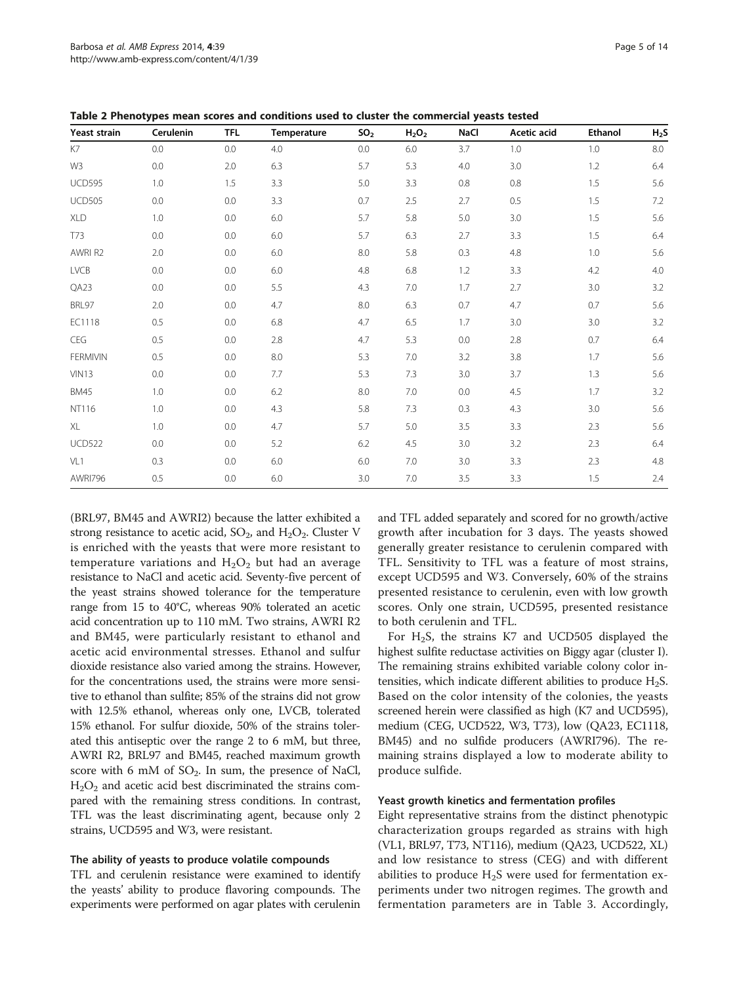(BRL97, BM45 and AWRI2) because the latter exhibited a strong resistance to acetic acid,  $SO_2$ , and  $H_2O_2$ . Cluster V is enriched with the yeasts that were more resistant to temperature variations and  $H_2O_2$  but had an average resistance to NaCl and acetic acid. Seventy-five percent of the yeast strains showed tolerance for the temperature range from 15 to 40°C, whereas 90% tolerated an acetic acid concentration up to 110 mM. Two strains, AWRI R2 and BM45, were particularly resistant to ethanol and acetic acid environmental stresses. Ethanol and sulfur dioxide resistance also varied among the strains. However, for the concentrations used, the strains were more sensitive to ethanol than sulfite; 85% of the strains did not grow with 12.5% ethanol, whereas only one, LVCB, tolerated 15% ethanol. For sulfur dioxide, 50% of the strains tolerated this antiseptic over the range 2 to 6 mM, but three, AWRI R2, BRL97 and BM45, reached maximum growth score with 6 mM of  $SO_2$ . In sum, the presence of NaCl,  $H_2O_2$  and acetic acid best discriminated the strains compared with the remaining stress conditions. In contrast, TFL was the least discriminating agent, because only 2 strains, UCD595 and W3, were resistant.

#### The ability of yeasts to produce volatile compounds

TFL and cerulenin resistance were examined to identify the yeasts' ability to produce flavoring compounds. The experiments were performed on agar plates with cerulenin

and TFL added separately and scored for no growth/active growth after incubation for 3 days. The yeasts showed generally greater resistance to cerulenin compared with TFL. Sensitivity to TFL was a feature of most strains, except UCD595 and W3. Conversely, 60% of the strains presented resistance to cerulenin, even with low growth scores. Only one strain, UCD595, presented resistance to both cerulenin and TFL.

For H2S, the strains K7 and UCD505 displayed the highest sulfite reductase activities on Biggy agar (cluster I). The remaining strains exhibited variable colony color intensities, which indicate different abilities to produce  $H_2S$ . Based on the color intensity of the colonies, the yeasts screened herein were classified as high (K7 and UCD595), medium (CEG, UCD522, W3, T73), low (QA23, EC1118, BM45) and no sulfide producers (AWRI796). The remaining strains displayed a low to moderate ability to produce sulfide.

#### Yeast growth kinetics and fermentation profiles

Eight representative strains from the distinct phenotypic characterization groups regarded as strains with high (VL1, BRL97, T73, NT116), medium (QA23, UCD522, XL) and low resistance to stress (CEG) and with different abilities to produce  $H_2S$  were used for fermentation experiments under two nitrogen regimes. The growth and fermentation parameters are in Table [3](#page-6-0). Accordingly,

| Yeast strain    | Cerulenin | <b>TFL</b> | Temperature | SO <sub>2</sub> | $H_2O_2$ | NaCl | Acetic acid | Ethanol | H <sub>2</sub> S |
|-----------------|-----------|------------|-------------|-----------------|----------|------|-------------|---------|------------------|
| K7              | 0.0       | 0.0        | 4.0         | 0.0             | 6.0      | 3.7  | 1.0         | 1.0     | 8.0              |
| W3              | 0.0       | 2.0        | 6.3         | 5.7             | 5.3      | 4.0  | 3.0         | 1.2     | 6.4              |
| <b>UCD595</b>   | 1.0       | 1.5        | 3.3         | 5.0             | 3.3      | 0.8  | 0.8         | 1.5     | 5.6              |
| <b>UCD505</b>   | 0.0       | 0.0        | 3.3         | 0.7             | 2.5      | 2.7  | 0.5         | 1.5     | 7.2              |
| XLD             | 1.0       | 0.0        | 6.0         | 5.7             | 5.8      | 5.0  | 3.0         | 1.5     | 5.6              |
| T73             | 0.0       | 0.0        | 6.0         | 5.7             | 6.3      | 2.7  | 3.3         | 1.5     | 6.4              |
| AWRI R2         | 2.0       | 0.0        | 6.0         | 8.0             | 5.8      | 0.3  | 4.8         | 1.0     | 5.6              |
| LVCB            | 0.0       | 0.0        | 6.0         | 4.8             | 6.8      | 1.2  | 3.3         | 4.2     | 4.0              |
| QA23            | 0.0       | 0.0        | 5.5         | 4.3             | 7.0      | 1.7  | 2.7         | 3.0     | 3.2              |
| BRL97           | 2.0       | 0.0        | 4.7         | 8.0             | 6.3      | 0.7  | 4.7         | 0.7     | 5.6              |
| EC1118          | 0.5       | 0.0        | 6.8         | 4.7             | 6.5      | 1.7  | 3.0         | 3.0     | 3.2              |
| CEG             | 0.5       | 0.0        | 2.8         | 4.7             | 5.3      | 0.0  | 2.8         | 0.7     | 6.4              |
| <b>FERMIVIN</b> | 0.5       | 0.0        | $8.0\,$     | 5.3             | 7.0      | 3.2  | 3.8         | 1.7     | 5.6              |
| <b>VIN13</b>    | 0.0       | 0.0        | 7.7         | 5.3             | 7.3      | 3.0  | 3.7         | 1.3     | 5.6              |
| <b>BM45</b>     | 1.0       | 0.0        | 6.2         | 8.0             | 7.0      | 0.0  | 4.5         | 1.7     | 3.2              |
| NT116           | 1.0       | 0.0        | 4.3         | 5.8             | 7.3      | 0.3  | 4.3         | 3.0     | 5.6              |
| XL              | 1.0       | 0.0        | 4.7         | 5.7             | 5.0      | 3.5  | 3.3         | 2.3     | 5.6              |
| <b>UCD522</b>   | 0.0       | 0.0        | 5.2         | 6.2             | 4.5      | 3.0  | 3.2         | 2.3     | 6.4              |
| VL1             | 0.3       | 0.0        | 6.0         | 6.0             | 7.0      | 3.0  | 3.3         | 2.3     | 4.8              |
| AWRI796         | 0.5       | 0.0        | 6.0         | 3.0             | 7.0      | 3.5  | 3.3         | 1.5     | 2.4              |

<span id="page-4-0"></span>Table 2 Phenotypes mean scores and conditions used to cluster the commercial yeasts tested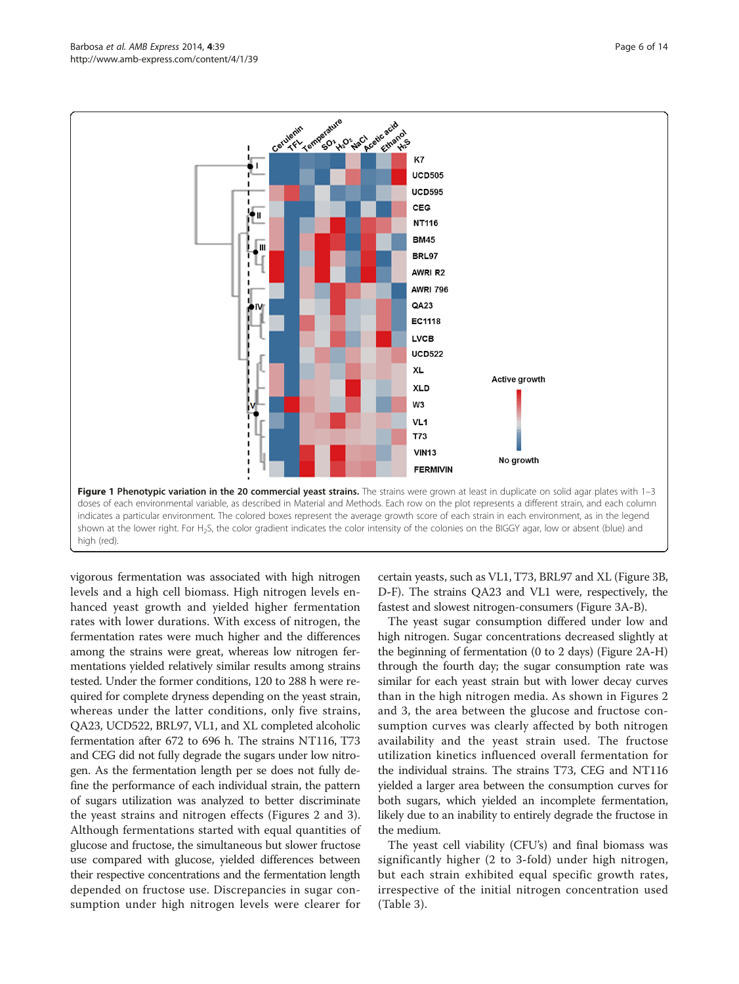<span id="page-5-0"></span>



vigorous fermentation was associated with high nitrogen levels and a high cell biomass. High nitrogen levels enhanced yeast growth and yielded higher fermentation rates with lower durations. With excess of nitrogen, the fermentation rates were much higher and the differences among the strains were great, whereas low nitrogen fermentations yielded relatively similar results among strains tested. Under the former conditions, 120 to 288 h were required for complete dryness depending on the yeast strain, whereas under the latter conditions, only five strains, QA23, UCD522, BRL97, VL1, and XL completed alcoholic fermentation after 672 to 696 h. The strains NT116, T73 and CEG did not fully degrade the sugars under low nitrogen. As the fermentation length per se does not fully define the performance of each individual strain, the pattern of sugars utilization was analyzed to better discriminate the yeast strains and nitrogen effects (Figures [2](#page-7-0) and [3](#page-8-0)). Although fermentations started with equal quantities of glucose and fructose, the simultaneous but slower fructose use compared with glucose, yielded differences between their respective concentrations and the fermentation length depended on fructose use. Discrepancies in sugar consumption under high nitrogen levels were clearer for

certain yeasts, such as VL1, T73, BRL97 and XL (Figure [3B](#page-8-0), D-F). The strains QA23 and VL1 were, respectively, the fastest and slowest nitrogen-consumers (Figure [3](#page-8-0)A-B).

The yeast sugar consumption differed under low and high nitrogen. Sugar concentrations decreased slightly at the beginning of fermentation (0 to 2 days) (Figure [2](#page-7-0)A-H) through the fourth day; the sugar consumption rate was similar for each yeast strain but with lower decay curves than in the high nitrogen media. As shown in Figures [2](#page-7-0) and [3,](#page-8-0) the area between the glucose and fructose consumption curves was clearly affected by both nitrogen availability and the yeast strain used. The fructose utilization kinetics influenced overall fermentation for the individual strains. The strains T73, CEG and NT116 yielded a larger area between the consumption curves for both sugars, which yielded an incomplete fermentation, likely due to an inability to entirely degrade the fructose in the medium.

The yeast cell viability (CFU's) and final biomass was significantly higher (2 to 3-fold) under high nitrogen, but each strain exhibited equal specific growth rates, irrespective of the initial nitrogen concentration used (Table [3\)](#page-6-0).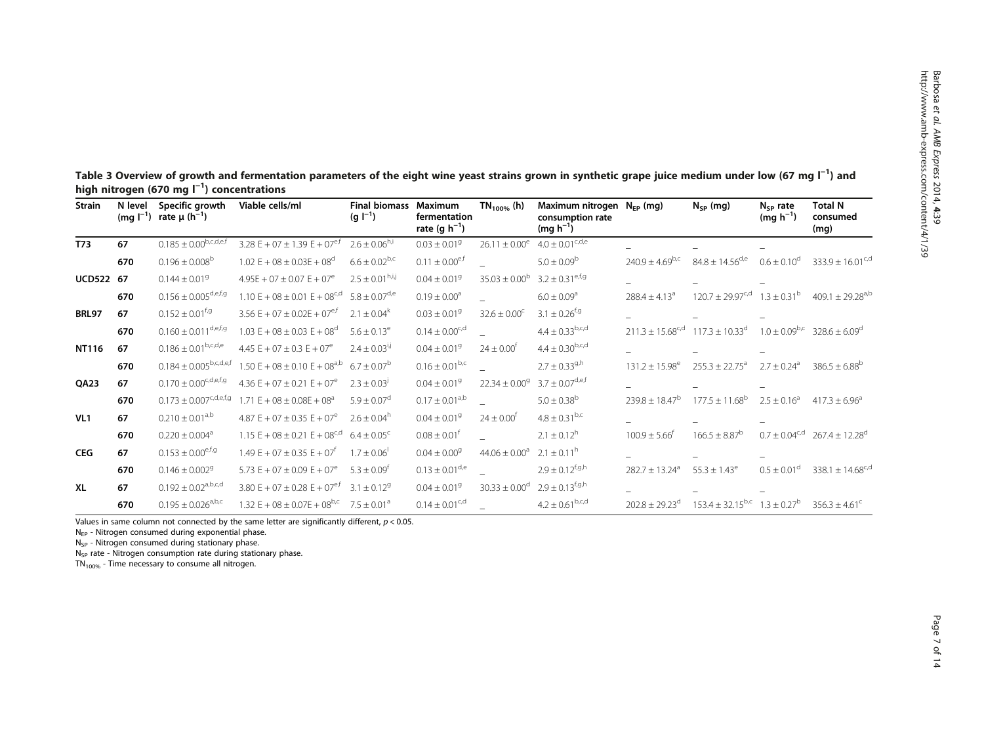<span id="page-6-0"></span>

| Table 3 Overview of growth and fermentation parameters of the eight wine yeast strains grown in synthetic grape juice medium under low (67 mg $\Gamma$ <sup>1</sup> ) and |  |
|---------------------------------------------------------------------------------------------------------------------------------------------------------------------------|--|
| high nitrogen (670 mg $I^{-1}$ ) concentrations                                                                                                                           |  |

| <b>Strain</b>   | N level | Specific growth<br>(mg $I^{-1}$ ) rate $\mu$ (h <sup>-1</sup> ) | Viable cells/ml                                                            | <b>Final biomass</b><br>$(q  ^{-1})$        | Maximum<br>fermentation<br>rate (g $h^{-1}$ ) | $TN_{100\%}$ (h)              | Maximum nitrogen $N_{FP}$ (mg)<br>consumption rate<br>$(mg h^{-1})$ |                                | $N_{SP}$ (mg)                                                 | $N_{SP}$ rate<br>$(mg h^{-1})$ | <b>Total N</b><br>consumed<br>(mg) |
|-----------------|---------|-----------------------------------------------------------------|----------------------------------------------------------------------------|---------------------------------------------|-----------------------------------------------|-------------------------------|---------------------------------------------------------------------|--------------------------------|---------------------------------------------------------------|--------------------------------|------------------------------------|
| T73             | 67      | $0.185 \pm 0.00^{b,c,d,e,f}$                                    | 3.28 E + 07 $\pm$ 1.39 E + 07 <sup>e,f</sup>                               | $2.6 \pm 0.06^{h,i}$                        | $0.03 \pm 0.019$                              | $26.11 \pm 0.00^e$            | $4.0 \pm 0.01^{\rm c,d,e}$                                          |                                |                                                               |                                |                                    |
|                 | 670     | $0.196 \pm 0.008^b$                                             | $1.02 E + 08 \pm 0.03E + 08^d$                                             | $6.6 \pm 0.02^{b,c}$                        | $0.11 \pm 0.00$ <sup>e,f</sup>                |                               | $5.0 \pm 0.09^{\rm b}$                                              | $240.9 \pm 4.69^{b,c}$         | $84.8 \pm 14.56$ <sup>d,e</sup>                               | $0.6 \pm 0.10^d$               | $333.9 \pm 16.01^{c,d}$            |
| UCD522 67       |         | $0.144 \pm 0.019$                                               | $4.95E + 07 \pm 0.07E + 07^e$                                              | $2.5 \pm 0.01^{\text{h},\text{i},\text{j}}$ | $0.04 \pm 0.01$ <sup>9</sup>                  | $35.03 \pm 0.00^{\circ}$      | $3.2 \pm 0.31$ <sup>e,f,g</sup>                                     |                                |                                                               |                                |                                    |
|                 | 670     | $0.156 \pm 0.005^{\rm d,e,f,g}$                                 | 1.10 E + 08 $\pm$ 0.01 E + 08 <sup>c,d</sup> 5.8 $\pm$ 0.07 <sup>d,e</sup> |                                             | $0.19 \pm 0.00$ <sup>a</sup>                  |                               | $6.0 \pm 0.09$ <sup>a</sup>                                         | $288.4 \pm 4.13$ <sup>a</sup>  | $120.7 \pm 29.97^{\text{c,d}}$                                | $1.3 \pm 0.31^{\rm b}$         | $409.1 \pm 29.28$ <sup>a,b</sup>   |
| <b>BRL97</b>    | 67      | $0.152 \pm 0.01^{f,g}$                                          | $3.56 E + 07 \pm 0.02E + 07$ <sup>e,f</sup>                                | $2.1 \pm 0.04^k$                            | $0.03 \pm 0.01$ <sup>9</sup>                  | $32.6 \pm 0.00^{\circ}$       | $3.1 \pm 0.26^{f,g}$                                                |                                |                                                               |                                |                                    |
|                 | 670     | $0.160 \pm 0.011^{\rm d,e,f,g}$                                 | 1.03 $E + 08 \pm 0.03 E + 08$ <sup>d</sup>                                 | $5.6 \pm 0.13^e$                            | $0.14 \pm 0.00^{c,d}$                         |                               | $4.4\pm0.33^{\mathrm{b,c,d}}$                                       |                                | $211.3 \pm 15.68^{\text{c,d}}$ 117.3 $\pm$ 10.33 <sup>d</sup> | $1.0 \pm 0.09^{b,c}$           | $328.6 \pm 6.09$ <sup>d</sup>      |
| NT116           | 67      | $0.186 \pm 0.01^{\rm b,c,d,e}$                                  | 4.45 $E + 07 \pm 0.3$ $E + 07$ <sup>e</sup>                                | $2.4 \pm 0.03^{i,j}$                        | $0.04 \pm 0.019$                              | $24 \pm 0.00^{\circ}$         | $4.4 \pm 0.30^{b,c,d}$                                              |                                |                                                               |                                |                                    |
|                 | 670     | $0.184 \pm 0.005^{b,c,d,e,f}$                                   | $1.50 E + 08 \pm 0.10 E + 08$ <sup>a,b</sup>                               | $6.7 \pm 0.07^{\rm b}$                      | $0.16 \pm 0.01^{b,c}$                         |                               | $2.7 \pm 0.33^{9}$                                                  | $131.2 \pm 15.98^e$            | $255.3 \pm 22.75^a$                                           | $2.7 \pm 0.24$ <sup>a</sup>    | $386.5 \pm 6.88^{\circ}$           |
| <b>OA23</b>     | 67      | $0.170 \pm 0.00^{\text{c,d,e,f,g}}$                             | 4.36 $E + 07 \pm 0.21 E + 07$ <sup>e</sup>                                 | $2.3 \pm 0.03^{j}$                          | $0.04 \pm 0.01$ <sup>9</sup>                  | $22.34 \pm 0.009$             | $3.7 \pm 0.07^{\text{d,e,f}}$                                       |                                |                                                               |                                |                                    |
|                 | 670     | $0.173 \pm 0.007^{c,d,e,f,g}$                                   | $1.71 E + 08 \pm 0.08E + 08$ <sup>a</sup>                                  | $5.9 \pm 0.07$ <sup>d</sup>                 | $0.17 \pm 0.01^{a,b}$                         |                               | $5.0 \pm 0.38$ <sup>b</sup>                                         | $239.8 \pm 18.47^b$            | $177.5 \pm 11.68^{\mathrm{b}}$                                | $2.5 \pm 0.16^a$               | $417.3 \pm 6.96^{\circ}$           |
| VL <sub>1</sub> | 67      | $0.210 \pm 0.01^{a,b}$                                          | 4.87 E + 07 $\pm$ 0.35 E + 07 <sup>e</sup>                                 | $2.6 + 0.04^h$                              | $0.04 \pm 0.01$ <sup>9</sup>                  | $24 \pm 0.00^{\circ}$         | $4.8 \pm 0.31^{b,c}$                                                |                                |                                                               |                                |                                    |
|                 | 670     | $0.220 \pm 0.004$ <sup>a</sup>                                  | 1.15 E + $08 \pm 0.21$ E + $08^{c,d}$ 6.4 $\pm 0.05^{c}$                   |                                             | $0.08 \pm 0.01$ <sup>f</sup>                  |                               | $2.1 \pm 0.12$ <sup>h</sup>                                         | $100.9 \pm 5.66^{\dagger}$     | $166.5 \pm 8.87^b$                                            | $0.7 \pm 0.04^{\text{c,d}}$    | $267.4 \pm 12.28$ <sup>d</sup>     |
| <b>CEG</b>      | 67      | $0.153 \pm 0.00^{\mathrm{e,f,g}}$                               | 1.49 E + 07 $\pm$ 0.35 E + 07 <sup>t</sup>                                 | $1.7 + 0.06$                                | $0.04 \pm 0.00$ <sup>g</sup>                  | $44.06 \pm 0.00^a$            | $2.1 \pm 0.11^{\rm h}$                                              |                                |                                                               |                                |                                    |
|                 | 670     | $0.146 \pm 0.002$ <sup>9</sup>                                  | 5.73 $E + 07 \pm 0.09 E + 07^e$                                            | $5.3 \pm 0.09$ <sup>t</sup>                 | $0.13 \pm 0.01^{\text{d,e}}$                  |                               | $2.9 \pm 0.12^{\text{f,g,h}}$                                       | $282.7 \pm 13.24$ <sup>a</sup> | $55.3 \pm 1.43^e$                                             | $0.5 \pm 0.01$ <sup>d</sup>    | 338.1 $\pm$ 14.68 <sup>c,d</sup>   |
| XL              | 67      | $0.192 \pm 0.02^{\rm a,b,c,d}$                                  | 3.80 E + 07 $\pm$ 0.28 E + 07 <sup>e,f</sup>                               | $3.1 + 0.129$                               | $0.04 \pm 0.01$ <sup>9</sup>                  | $30.33 \pm 0.00$ <sup>d</sup> | $2.9 \pm 0.13^{f,g,h}$                                              |                                |                                                               |                                |                                    |
|                 | 670     | $0.195 \pm 0.026^{a,b,c}$                                       | 1.32 E + 08 ± 0.07E + 08 <sup>b,c</sup> 7.5 ± 0.01 <sup>a</sup>            |                                             | $0.14 \pm 0.01^{\text{c,d}}$                  |                               | $4.2 \pm 0.61^{b,c,d}$                                              | $202.8 \pm 29.23$ <sup>d</sup> | $153.4 \pm 32.15^{b,c}$ $1.3 \pm 0.27^{b}$                    |                                | $356.3 \pm 4.61^{\circ}$           |

Values in same column not connected by the same letter are significantly different,  $p < 0.05$ .

 $N_{EP}$  - Nitrogen consumed during exponential phase.

N<sub>SP</sub> - Nitrogen consumed during stationary phase.

N<sub>SP</sub> rate - Nitrogen consumption rate during stationary phase.

 $TN_{100\%}$  - Time necessary to consume all nitrogen.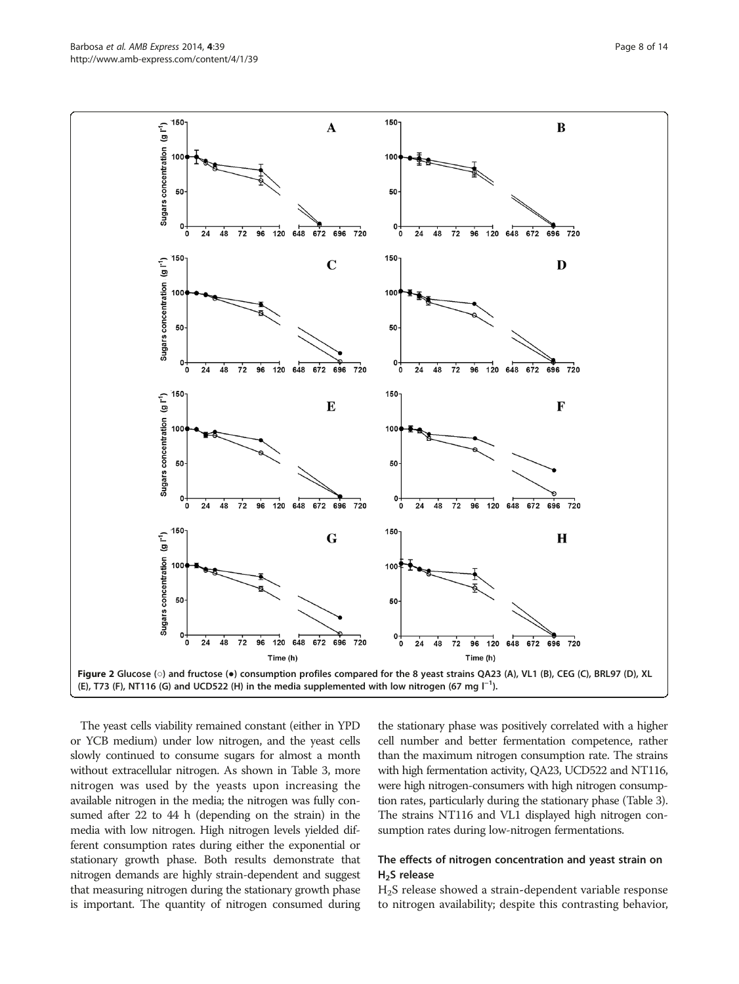<span id="page-7-0"></span>

The yeast cells viability remained constant (either in YPD or YCB medium) under low nitrogen, and the yeast cells slowly continued to consume sugars for almost a month without extracellular nitrogen. As shown in Table [3](#page-6-0), more nitrogen was used by the yeasts upon increasing the available nitrogen in the media; the nitrogen was fully consumed after 22 to 44 h (depending on the strain) in the media with low nitrogen. High nitrogen levels yielded different consumption rates during either the exponential or stationary growth phase. Both results demonstrate that nitrogen demands are highly strain-dependent and suggest that measuring nitrogen during the stationary growth phase is important. The quantity of nitrogen consumed during

the stationary phase was positively correlated with a higher cell number and better fermentation competence, rather than the maximum nitrogen consumption rate. The strains with high fermentation activity, QA23, UCD522 and NT116, were high nitrogen-consumers with high nitrogen consumption rates, particularly during the stationary phase (Table [3](#page-6-0)). The strains NT116 and VL1 displayed high nitrogen consumption rates during low-nitrogen fermentations.

## The effects of nitrogen concentration and yeast strain on  $H<sub>2</sub>S$  release

H2S release showed a strain-dependent variable response to nitrogen availability; despite this contrasting behavior,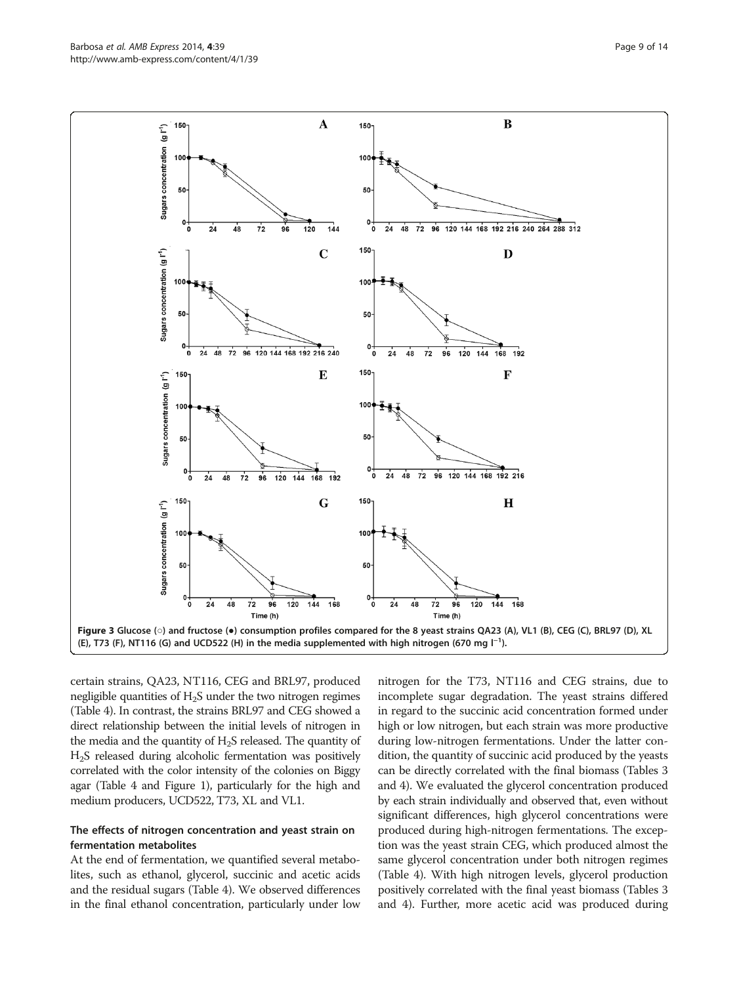<span id="page-8-0"></span>

certain strains, QA23, NT116, CEG and BRL97, produced negligible quantities of  $H_2S$  under the two nitrogen regimes (Table [4](#page-9-0)). In contrast, the strains BRL97 and CEG showed a direct relationship between the initial levels of nitrogen in the media and the quantity of  $H_2S$  released. The quantity of H2S released during alcoholic fermentation was positively correlated with the color intensity of the colonies on Biggy agar (Table [4](#page-9-0) and Figure [1](#page-5-0)), particularly for the high and medium producers, UCD522, T73, XL and VL1.

## The effects of nitrogen concentration and yeast strain on fermentation metabolites

At the end of fermentation, we quantified several metabolites, such as ethanol, glycerol, succinic and acetic acids and the residual sugars (Table [4](#page-9-0)). We observed differences in the final ethanol concentration, particularly under low

nitrogen for the T73, NT116 and CEG strains, due to incomplete sugar degradation. The yeast strains differed in regard to the succinic acid concentration formed under high or low nitrogen, but each strain was more productive during low-nitrogen fermentations. Under the latter condition, the quantity of succinic acid produced by the yeasts can be directly correlated with the final biomass (Tables [3](#page-6-0) and [4](#page-9-0)). We evaluated the glycerol concentration produced by each strain individually and observed that, even without significant differences, high glycerol concentrations were produced during high-nitrogen fermentations. The exception was the yeast strain CEG, which produced almost the same glycerol concentration under both nitrogen regimes (Table [4](#page-9-0)). With high nitrogen levels, glycerol production positively correlated with the final yeast biomass (Tables [3](#page-6-0) and [4](#page-9-0)). Further, more acetic acid was produced during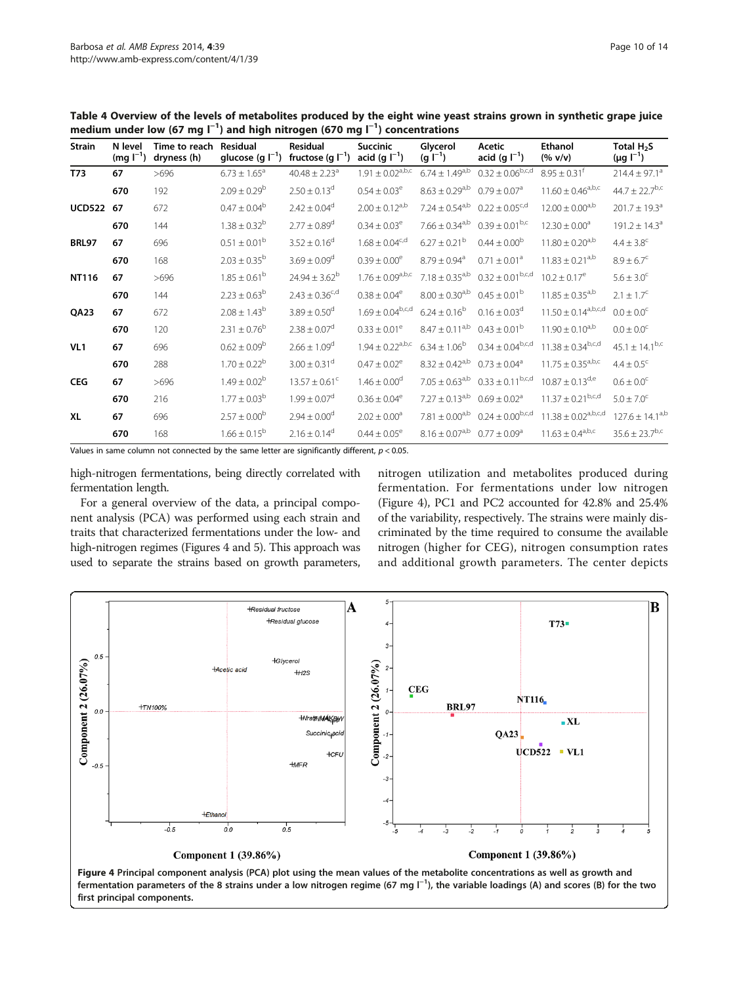| <b>Strain</b>   | N level<br>$(mg I^{-1})$ | Time to reach<br>dryness (h) | <b>Residual</b><br>glucose (g $I^{-1}$ ) | <b>Residual</b><br>fructose (g $I^{-1}$ ) | <b>Succinic</b><br>acid (g $I^{-1}$ ) | Glycerol<br>$(g I^{-1})$     | Acetic<br>acid (g $I^{-1}$ )   | <b>Ethanol</b><br>(% v/v)       | Total H <sub>2</sub> S<br>$(\mu g I^{-1})$ |
|-----------------|--------------------------|------------------------------|------------------------------------------|-------------------------------------------|---------------------------------------|------------------------------|--------------------------------|---------------------------------|--------------------------------------------|
| T73             | 67                       | >696                         | $6.73 \pm 1.65^a$                        | $40.48 \pm 2.23$ <sup>a</sup>             | $1.91\pm0.02^{\rm a,b,c}$             | $6.74 \pm 1.49^{a,b}$        | $0.32 \pm 0.06^{b,c,d}$        | $8.95 \pm 0.31^f$               | $214.4 \pm 97.1^a$                         |
|                 | 670                      | 192                          | $2.09 \pm 0.29^b$                        | $2.50 \pm 0.13^d$                         | $0.54 \pm 0.03^e$                     | $8.63 \pm 0.29^{a,b}$        | $0.79 \pm 0.07$ <sup>a</sup>   | $11.60 \pm 0.46^{a,b,c}$        | $44.7 \pm 22.7$ <sup>b,c</sup>             |
| <b>UCD522</b>   | 67                       | 672                          | $0.47 \pm 0.04^b$                        | $2.42 \pm 0.04^d$                         | $2.00 \pm 0.12^{a,b}$                 | $7.24 \pm 0.54^{a,b}$        | $0.22 \pm 0.05$ <sup>c,d</sup> | $12.00 \pm 0.00^{a,b}$          | $201.7 \pm 19.3$ <sup>a</sup>              |
|                 | 670                      | 144                          | $1.38 \pm 0.32^b$                        | $2.77 \pm 0.89^d$                         | $0.34 \pm 0.03^e$                     | $7.66 \pm 0.34^{a,b}$        | $0.39 \pm 0.01^{b,c}$          | $12.30 \pm 0.00^a$              | $191.2 \pm 14.3$ <sup>a</sup>              |
| <b>BRL97</b>    | 67                       | 696                          | $0.51 \pm 0.01^{\rm b}$                  | $3.52 \pm 0.16^d$                         | $1.68 \pm 0.04^{c,d}$                 | $6.27 \pm 0.21^{\rm b}$      | $0.44 \pm 0.00^{\circ}$        | $11.80 \pm 0.20^{a,b}$          | $4.4 \pm 3.8^{\circ}$                      |
|                 | 670                      | 168                          | $2.03 \pm 0.35^{\rm b}$                  | $3.69 \pm 0.09^d$                         | $0.39 \pm 0.00^e$                     | $8.79 \pm 0.94$ <sup>a</sup> | $0.71 \pm 0.01^a$              | $11.83 \pm 0.21^{a,b}$          | $8.9 \pm 6.7^{\circ}$                      |
| <b>NT116</b>    | 67                       | >696                         | $1.85 \pm 0.61^{\rm b}$                  | $24.94 \pm 3.62^b$                        | $1.76 \pm 0.09^{a,b,c}$               | $7.18 \pm 0.35^{a,b}$        | $0.32 \pm 0.01^{b,c,d}$        | $10.2 \pm 0.17^e$               | $5.6 \pm 3.0^{\circ}$                      |
|                 | 670                      | 144                          | $2.23 \pm 0.63^b$                        | $2.43 \pm 0.36^{c,d}$                     | $0.38 \pm 0.04^e$                     | $8.00 \pm 0.30^{a,b}$        | $0.45 \pm 0.01^{\circ}$        | $11.85 \pm 0.35$ <sup>a,b</sup> | $2.1 \pm 1.7^c$                            |
| QA23            | 67                       | 672                          | $2.08 \pm 1.43^b$                        | $3.89 \pm 0.50^{\circ}$                   | $1.69 \pm 0.04^{b,c,d}$               | $6.24 \pm 0.16^b$            | $0.16 \pm 0.03$ <sup>d</sup>   | $11.50 \pm 0.14^{a,b,c,d}$      | $0.0 \pm 0.0^{\circ}$                      |
|                 | 670                      | 120                          | $2.31 \pm 0.76^b$                        | $2.38 \pm 0.07$ <sup>d</sup>              | $0.33 \pm 0.01^e$                     | $8.47 \pm 0.11^{a,b}$        | $0.43 \pm 0.01^{\rm b}$        | $11.90 \pm 0.10^{a,b}$          | $0.0 \pm 0.0^{\circ}$                      |
| VL <sub>1</sub> | 67                       | 696                          | $0.62 \pm 0.09^b$                        | $2.66 \pm 1.09^d$                         | $1.94 \pm 0.22^{a,b,c}$               | $6.34 \pm 1.06^b$            | $0.34 \pm 0.04^{b,c,d}$        | $11.38 \pm 0.34^{b,c,d}$        | $45.1 \pm 14.1^{b,c}$                      |
|                 | 670                      | 288                          | $1.70 \pm 0.22^b$                        | $3.00 \pm 0.31$ <sup>d</sup>              | $0.47 \pm 0.02^e$                     | $8.32 \pm 0.42^{a,b}$        | $0.73 \pm 0.04^a$              | $11.75 \pm 0.35^{a,b,c}$        | $4.4 \pm 0.5^{\circ}$                      |
| <b>CEG</b>      | 67                       | >696                         | $1.49 \pm 0.02^b$                        | $13.57 \pm 0.61$ <sup>c</sup>             | $1.46 \pm 0.00^d$                     | $7.05 \pm 0.63^{a,b}$        | $0.33 \pm 0.11^{b,c,d}$        | $10.87 \pm 0.13$ <sup>d,e</sup> | $0.6 \pm 0.0^{\circ}$                      |
|                 | 670                      | 216                          | $1.77 \pm 0.03^b$                        | $1.99 \pm 0.07$ <sup>d</sup>              | $0.36 \pm 0.04^e$                     | $7.27 \pm 0.13^{a,b}$        | $0.69 \pm 0.02$ <sup>a</sup>   | $11.37 \pm 0.21^{b,c,d}$        | $5.0 \pm 7.0^{\circ}$                      |
| <b>XL</b>       | 67                       | 696                          | $2.57 \pm 0.00^{\rm b}$                  | $2.94 \pm 0.00^d$                         | $2.02 \pm 0.00^a$                     | $7.81 \pm 0.00^{a,b}$        | $0.24 \pm 0.00^{b,c,d}$        | $11.38 \pm 0.02^{a,b,c,d}$      | $127.6 \pm 14.1^{a,b}$                     |
|                 | 670                      | 168                          | $1.66 \pm 0.15^b$                        | $2.16 \pm 0.14^d$                         | $0.44 \pm 0.05^e$                     | $8.16 \pm 0.07^{\rm a,b}$    | $0.77 \pm 0.09^{\circ}$        | $11.63 \pm 0.4^{a,b,c}$         | $35.6 \pm 23.7^{b,c}$                      |

<span id="page-9-0"></span>Table 4 Overview of the levels of metabolites produced by the eight wine yeast strains grown in synthetic grape juice medium under low (67 mg l $^{-1}$ ) and high nitrogen (670 mg l $^{-1}$ ) concentrations

Values in same column not connected by the same letter are significantly different,  $p < 0.05$ .

high-nitrogen fermentations, being directly correlated with fermentation length.

For a general overview of the data, a principal component analysis (PCA) was performed using each strain and traits that characterized fermentations under the low- and high-nitrogen regimes (Figures 4 and [5](#page-10-0)). This approach was used to separate the strains based on growth parameters,

nitrogen utilization and metabolites produced during fermentation. For fermentations under low nitrogen (Figure 4), PC1 and PC2 accounted for 42.8% and 25.4% of the variability, respectively. The strains were mainly discriminated by the time required to consume the available nitrogen (higher for CEG), nitrogen consumption rates and additional growth parameters. The center depicts

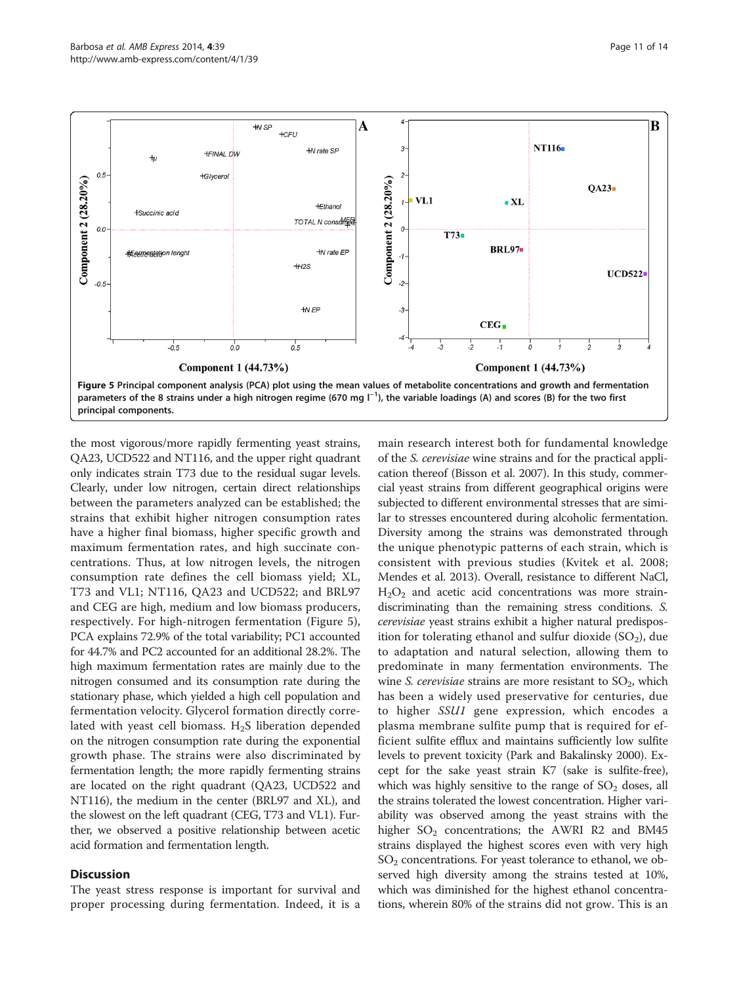<span id="page-10-0"></span>

the most vigorous/more rapidly fermenting yeast strains, QA23, UCD522 and NT116, and the upper right quadrant only indicates strain T73 due to the residual sugar levels. Clearly, under low nitrogen, certain direct relationships between the parameters analyzed can be established; the strains that exhibit higher nitrogen consumption rates have a higher final biomass, higher specific growth and maximum fermentation rates, and high succinate concentrations. Thus, at low nitrogen levels, the nitrogen consumption rate defines the cell biomass yield; XL, T73 and VL1; NT116, QA23 and UCD522; and BRL97 and CEG are high, medium and low biomass producers, respectively. For high-nitrogen fermentation (Figure 5), PCA explains 72.9% of the total variability; PC1 accounted for 44.7% and PC2 accounted for an additional 28.2%. The high maximum fermentation rates are mainly due to the nitrogen consumed and its consumption rate during the stationary phase, which yielded a high cell population and fermentation velocity. Glycerol formation directly correlated with yeast cell biomass.  $H_2S$  liberation depended on the nitrogen consumption rate during the exponential growth phase. The strains were also discriminated by fermentation length; the more rapidly fermenting strains are located on the right quadrant (QA23, UCD522 and NT116), the medium in the center (BRL97 and XL), and the slowest on the left quadrant (CEG, T73 and VL1). Further, we observed a positive relationship between acetic acid formation and fermentation length.

## **Discussion**

The yeast stress response is important for survival and proper processing during fermentation. Indeed, it is a main research interest both for fundamental knowledge of the S. cerevisiae wine strains and for the practical application thereof (Bisson et al. [2007\)](#page-12-0). In this study, commercial yeast strains from different geographical origins were subjected to different environmental stresses that are similar to stresses encountered during alcoholic fermentation. Diversity among the strains was demonstrated through the unique phenotypic patterns of each strain, which is consistent with previous studies (Kvitek et al. [2008](#page-12-0); Mendes et al. [2013\)](#page-12-0). Overall, resistance to different NaCl,  $H<sub>2</sub>O<sub>2</sub>$  and acetic acid concentrations was more straindiscriminating than the remaining stress conditions. S. cerevisiae yeast strains exhibit a higher natural predisposition for tolerating ethanol and sulfur dioxide  $(SO<sub>2</sub>)$ , due to adaptation and natural selection, allowing them to predominate in many fermentation environments. The wine S. cerevisiae strains are more resistant to  $SO_2$ , which has been a widely used preservative for centuries, due to higher SSU1 gene expression, which encodes a plasma membrane sulfite pump that is required for efficient sulfite efflux and maintains sufficiently low sulfite levels to prevent toxicity (Park and Bakalinsky [2000](#page-13-0)). Except for the sake yeast strain K7 (sake is sulfite-free), which was highly sensitive to the range of  $SO<sub>2</sub>$  doses, all the strains tolerated the lowest concentration. Higher variability was observed among the yeast strains with the higher  $SO_2$  concentrations; the AWRI R2 and BM45 strains displayed the highest scores even with very high  $SO<sub>2</sub>$  concentrations. For yeast tolerance to ethanol, we observed high diversity among the strains tested at 10%, which was diminished for the highest ethanol concentrations, wherein 80% of the strains did not grow. This is an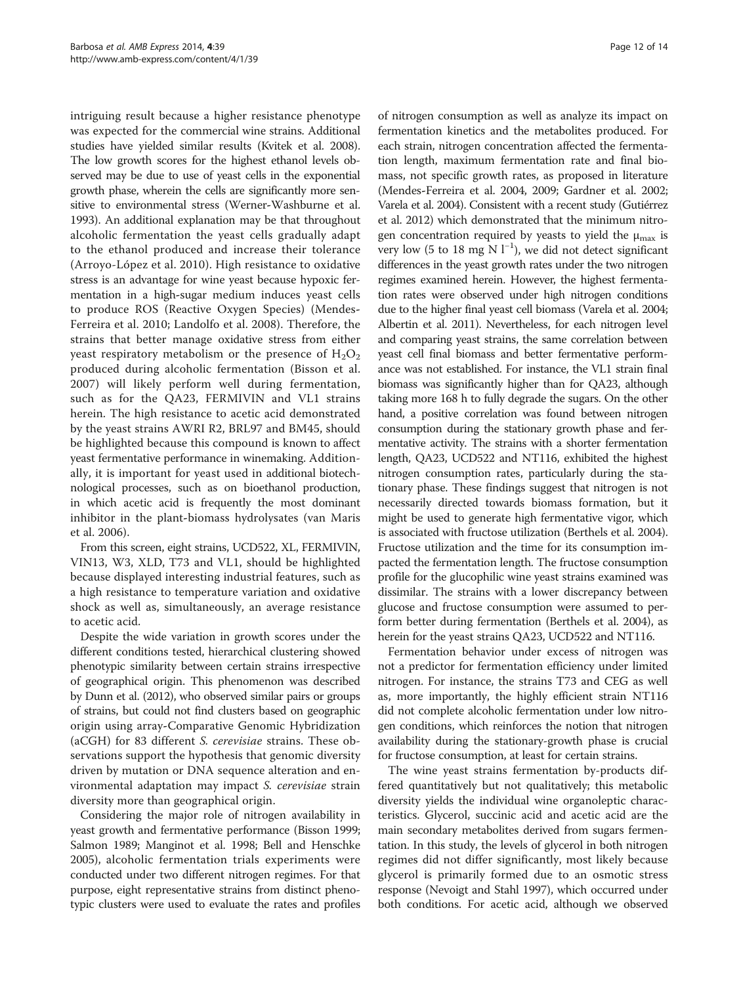intriguing result because a higher resistance phenotype was expected for the commercial wine strains. Additional studies have yielded similar results (Kvitek et al. [2008](#page-12-0)). The low growth scores for the highest ethanol levels observed may be due to use of yeast cells in the exponential growth phase, wherein the cells are significantly more sensitive to environmental stress (Werner-Washburne et al. [1993\)](#page-13-0). An additional explanation may be that throughout alcoholic fermentation the yeast cells gradually adapt to the ethanol produced and increase their tolerance (Arroyo-López et al. [2010](#page-12-0)). High resistance to oxidative stress is an advantage for wine yeast because hypoxic fermentation in a high-sugar medium induces yeast cells to produce ROS (Reactive Oxygen Species) (Mendes-Ferreira et al. [2010;](#page-13-0) Landolfo et al. [2008\)](#page-12-0). Therefore, the strains that better manage oxidative stress from either yeast respiratory metabolism or the presence of  $H_2O_2$ produced during alcoholic fermentation (Bisson et al. [2007\)](#page-12-0) will likely perform well during fermentation, such as for the QA23, FERMIVIN and VL1 strains herein. The high resistance to acetic acid demonstrated by the yeast strains AWRI R2, BRL97 and BM45, should be highlighted because this compound is known to affect yeast fermentative performance in winemaking. Additionally, it is important for yeast used in additional biotechnological processes, such as on bioethanol production, in which acetic acid is frequently the most dominant inhibitor in the plant-biomass hydrolysates (van Maris et al. [2006](#page-13-0)).

From this screen, eight strains, UCD522, XL, FERMIVIN, VIN13, W3, XLD, T73 and VL1, should be highlighted because displayed interesting industrial features, such as a high resistance to temperature variation and oxidative shock as well as, simultaneously, an average resistance to acetic acid.

Despite the wide variation in growth scores under the different conditions tested, hierarchical clustering showed phenotypic similarity between certain strains irrespective of geographical origin. This phenomenon was described by Dunn et al. [\(2012](#page-12-0)), who observed similar pairs or groups of strains, but could not find clusters based on geographic origin using array-Comparative Genomic Hybridization (aCGH) for 83 different S. cerevisiae strains. These observations support the hypothesis that genomic diversity driven by mutation or DNA sequence alteration and environmental adaptation may impact S. cerevisiae strain diversity more than geographical origin.

Considering the major role of nitrogen availability in yeast growth and fermentative performance (Bisson [1999](#page-12-0); Salmon [1989;](#page-13-0) Manginot et al. [1998;](#page-12-0) Bell and Henschke [2005\)](#page-12-0), alcoholic fermentation trials experiments were conducted under two different nitrogen regimes. For that purpose, eight representative strains from distinct phenotypic clusters were used to evaluate the rates and profiles

of nitrogen consumption as well as analyze its impact on fermentation kinetics and the metabolites produced. For each strain, nitrogen concentration affected the fermentation length, maximum fermentation rate and final biomass, not specific growth rates, as proposed in literature (Mendes-Ferreira et al. [2004, 2009](#page-13-0); Gardner et al. [2002](#page-12-0); Varela et al. [2004\)](#page-13-0). Consistent with a recent study (Gutiérrez et al. [2012\)](#page-12-0) which demonstrated that the minimum nitrogen concentration required by yeasts to yield the  $\mu_{\text{max}}$  is very low (5 to 18 mg N  $l^{-1}$ ), we did not detect significant differences in the yeast growth rates under the two nitrogen regimes examined herein. However, the highest fermentation rates were observed under high nitrogen conditions due to the higher final yeast cell biomass (Varela et al. [2004](#page-13-0); Albertin et al. [2011](#page-12-0)). Nevertheless, for each nitrogen level and comparing yeast strains, the same correlation between yeast cell final biomass and better fermentative performance was not established. For instance, the VL1 strain final biomass was significantly higher than for QA23, although taking more 168 h to fully degrade the sugars. On the other hand, a positive correlation was found between nitrogen consumption during the stationary growth phase and fermentative activity. The strains with a shorter fermentation length, QA23, UCD522 and NT116, exhibited the highest nitrogen consumption rates, particularly during the stationary phase. These findings suggest that nitrogen is not necessarily directed towards biomass formation, but it might be used to generate high fermentative vigor, which is associated with fructose utilization (Berthels et al. [2004](#page-12-0)). Fructose utilization and the time for its consumption impacted the fermentation length. The fructose consumption profile for the glucophilic wine yeast strains examined was dissimilar. The strains with a lower discrepancy between glucose and fructose consumption were assumed to perform better during fermentation (Berthels et al. [2004\)](#page-12-0), as herein for the yeast strains QA23, UCD522 and NT116.

Fermentation behavior under excess of nitrogen was not a predictor for fermentation efficiency under limited nitrogen. For instance, the strains T73 and CEG as well as, more importantly, the highly efficient strain NT116 did not complete alcoholic fermentation under low nitrogen conditions, which reinforces the notion that nitrogen availability during the stationary-growth phase is crucial for fructose consumption, at least for certain strains.

The wine yeast strains fermentation by-products differed quantitatively but not qualitatively; this metabolic diversity yields the individual wine organoleptic characteristics. Glycerol, succinic acid and acetic acid are the main secondary metabolites derived from sugars fermentation. In this study, the levels of glycerol in both nitrogen regimes did not differ significantly, most likely because glycerol is primarily formed due to an osmotic stress response (Nevoigt and Stahl [1997\)](#page-13-0), which occurred under both conditions. For acetic acid, although we observed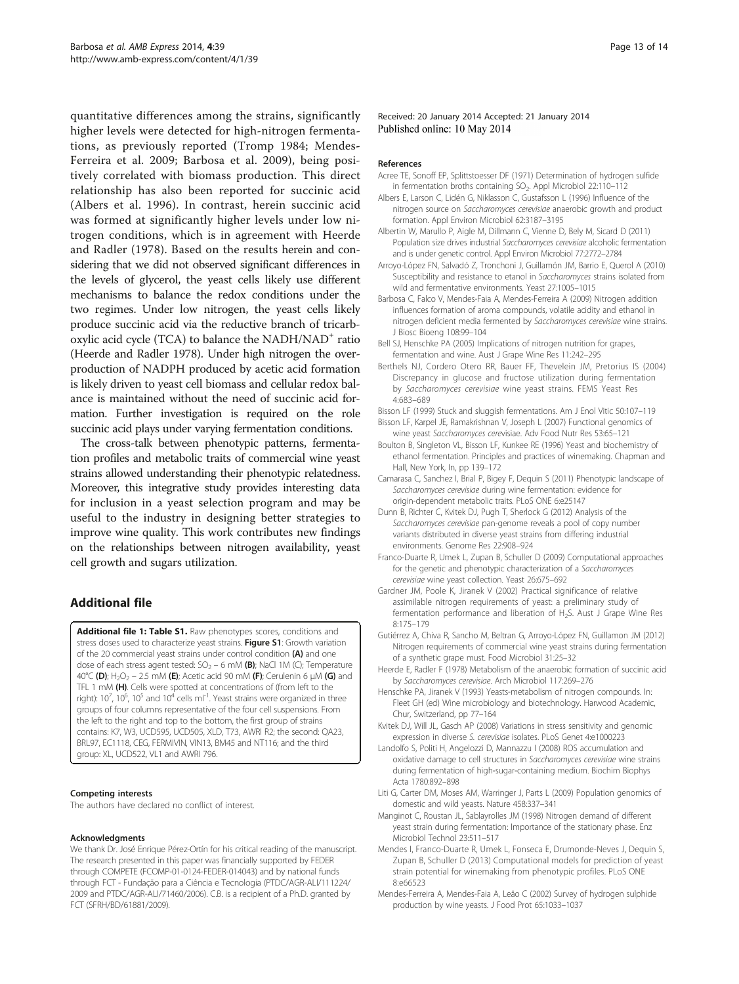<span id="page-12-0"></span>quantitative differences among the strains, significantly higher levels were detected for high-nitrogen fermentations, as previously reported (Tromp [1984](#page-13-0); Mendes-Ferreira et al. [2009;](#page-13-0) Barbosa et al. 2009), being positively correlated with biomass production. This direct relationship has also been reported for succinic acid (Albers et al. 1996). In contrast, herein succinic acid was formed at significantly higher levels under low nitrogen conditions, which is in agreement with Heerde and Radler (1978). Based on the results herein and considering that we did not observed significant differences in the levels of glycerol, the yeast cells likely use different mechanisms to balance the redox conditions under the two regimes. Under low nitrogen, the yeast cells likely produce succinic acid via the reductive branch of tricarboxylic acid cycle (TCA) to balance the  $NADH/NAD<sup>+</sup>$  ratio (Heerde and Radler 1978). Under high nitrogen the overproduction of NADPH produced by acetic acid formation is likely driven to yeast cell biomass and cellular redox balance is maintained without the need of succinic acid formation. Further investigation is required on the role succinic acid plays under varying fermentation conditions.

The cross-talk between phenotypic patterns, fermentation profiles and metabolic traits of commercial wine yeast strains allowed understanding their phenotypic relatedness. Moreover, this integrative study provides interesting data for inclusion in a yeast selection program and may be useful to the industry in designing better strategies to improve wine quality. This work contributes new findings on the relationships between nitrogen availability, yeast cell growth and sugars utilization.

## Additional file

[Additional file 1: Table S1.](http://www.biomedcentral.com/content/supplementary/13568_2014_39_MOESM1_ESM.docx) Raw phenotypes scores, conditions and stress doses used to characterize yeast strains. Figure S1: Growth variation of the 20 commercial yeast strains under control condition (A) and one dose of each stress agent tested:  $SO_2$  – 6 mM (B); NaCl 1M (C); Temperature 40°C (D); H<sub>2</sub>O<sub>2</sub> – 2.5 mM (E); Acetic acid 90 mM (F); Cerulenin 6 μM (G) and TFL 1 mM (H). Cells were spotted at concentrations of (from left to the right): 10<sup>7</sup>, 10<sup>6</sup>, 10<sup>5</sup> and 10<sup>4</sup> cells ml<sup>-1</sup>. Yeast strains were organized in three groups of four columns representative of the four cell suspensions. From the left to the right and top to the bottom, the first group of strains contains: K7, W3, UCD595, UCD505, XLD, T73, AWRI R2; the second: QA23, BRL97, EC1118, CEG, FERMIVIN, VIN13, BM45 and NT116; and the third group: XL, UCD522, VL1 and AWRI 796.

#### Competing interests

The authors have declared no conflict of interest.

#### Acknowledgments

We thank Dr. José Enrique Pérez-Ortín for his critical reading of the manuscript. The research presented in this paper was financially supported by FEDER through COMPETE (FCOMP-01-0124-FEDER-014043) and by national funds through FCT - Fundação para a Ciência e Tecnologia (PTDC/AGR-ALI/111224/ 2009 and PTDC/AGR-ALI/71460/2006). C.B. is a recipient of a Ph.D. granted by FCT (SFRH/BD/61881/2009).

Received: 20 January 2014 Accepted: 21 January 2014 Published online: 10 May 2014

#### References

- Acree TE, Sonoff EP, Splittstoesser DF (1971) Determination of hydrogen sulfide in fermentation broths containing SO<sub>2</sub>. Appl Microbiol 22:110-112
- Albers E, Larson C, Lidén G, Niklasson C, Gustafsson L (1996) Influence of the nitrogen source on Saccharomyces cerevisiae anaerobic growth and product formation. Appl Environ Microbiol 62:3187–3195
- Albertin W, Marullo P, Aigle M, Dillmann C, Vienne D, Bely M, Sicard D (2011) Population size drives industrial Saccharomyces cerevisiae alcoholic fermentation and is under genetic control. Appl Environ Microbiol 77:2772–2784
- Arroyo-López FN, Salvadó Z, Tronchoni J, Guillamón JM, Barrio E, Querol A (2010) Susceptibility and resistance to etanol in Saccharomyces strains isolated from wild and fermentative environments. Yeast 27:1005–1015
- Barbosa C, Falco V, Mendes-Faia A, Mendes-Ferreira A (2009) Nitrogen addition influences formation of aroma compounds, volatile acidity and ethanol in nitrogen deficient media fermented by Saccharomyces cerevisiae wine strains. J Biosc Bioeng 108:99–104
- Bell SJ, Henschke PA (2005) Implications of nitrogen nutrition for grapes, fermentation and wine. Aust J Grape Wine Res 11:242–295
- Berthels NJ, Cordero Otero RR, Bauer FF, Thevelein JM, Pretorius IS (2004) Discrepancy in glucose and fructose utilization during fermentation by Saccharomyces cerevisiae wine yeast strains. FEMS Yeast Res 4:683–689
- Bisson LF (1999) Stuck and sluggish fermentations. Am J Enol Vitic 50:107–119 Bisson LF, Karpel JE, Ramakrishnan V, Joseph L (2007) Functional genomics of
- wine yeast Saccharomyces cerevisiae. Adv Food Nutr Res 53:65–121 Boulton B, Singleton VL, Bisson LF, Kunkee RE (1996) Yeast and biochemistry of
- ethanol fermentation. Principles and practices of winemaking. Chapman and Hall, New York, In, pp 139–172
- Camarasa C, Sanchez I, Brial P, Bigey F, Dequin S (2011) Phenotypic landscape of Saccharomyces cerevisiae during wine fermentation: evidence for origin-dependent metabolic traits. PLoS ONE 6:e25147
- Dunn B, Richter C, Kvitek DJ, Pugh T, Sherlock G (2012) Analysis of the Saccharomyces cerevisiae pan-genome reveals a pool of copy number variants distributed in diverse yeast strains from differing industrial environments. Genome Res 22:908–924
- Franco-Duarte R, Umek L, Zupan B, Schuller D (2009) Computational approaches for the genetic and phenotypic characterization of a Saccharomyces cerevisiae wine yeast collection. Yeast 26:675–692
- Gardner JM, Poole K, Jiranek V (2002) Practical significance of relative assimilable nitrogen requirements of yeast: a preliminary study of fermentation performance and liberation of H<sub>2</sub>S. Aust J Grape Wine Res 8:175–179
- Gutiérrez A, Chiva R, Sancho M, Beltran G, Arroyo-López FN, Guillamon JM (2012) Nitrogen requirements of commercial wine yeast strains during fermentation of a synthetic grape must. Food Microbiol 31:25–32
- Heerde E, Radler F (1978) Metabolism of the anaerobic formation of succinic acid by Saccharomyces cerevisiae. Arch Microbiol 117:269–276
- Henschke PA, Jiranek V (1993) Yeasts-metabolism of nitrogen compounds. In: Fleet GH (ed) Wine microbiology and biotechnology. Harwood Academic, Chur, Switzerland, pp 77–164
- Kvitek DJ, Will JL, Gasch AP (2008) Variations in stress sensitivity and genomic expression in diverse S. cerevisiae isolates. PLoS Genet 4:e1000223
- Landolfo S, Politi H, Angelozzi D, Mannazzu I (2008) ROS accumulation and oxidative damage to cell structures in Saccharomyces cerevisiae wine strains during fermentation of high-sugar-containing medium. Biochim Biophys Acta 1780:892–898
- Liti G, Carter DM, Moses AM, Warringer J, Parts L (2009) Population genomics of domestic and wild yeasts. Nature 458:337–341
- Manginot C, Roustan JL, Sablayrolles JM (1998) Nitrogen demand of different yeast strain during fermentation: Importance of the stationary phase. Enz Microbiol Technol 23:511–517
- Mendes I, Franco-Duarte R, Umek L, Fonseca E, Drumonde-Neves J, Dequin S, Zupan B, Schuller D (2013) Computational models for prediction of yeast strain potential for winemaking from phenotypic profiles. PLoS ONE 8:e66523
- Mendes-Ferreira A, Mendes-Faia A, Leão C (2002) Survey of hydrogen sulphide production by wine yeasts. J Food Prot 65:1033–1037